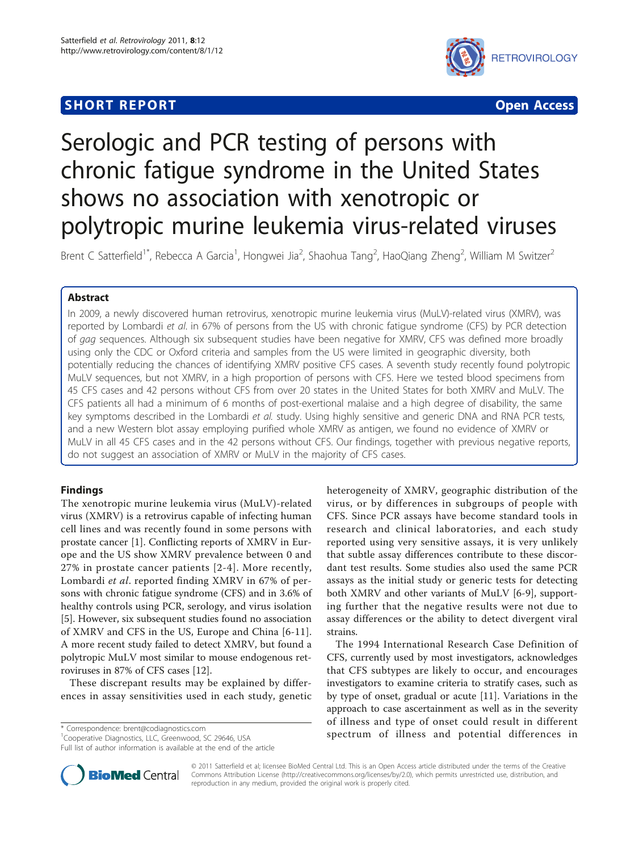## **SHORT REPORT CONTRACT CONTRACT CONTRACT CONTRACT CONTRACT CONTRACT CONTRACT CONTRACT CONTRACT CONTRACT CONTRACT CONTRACT CONTRACT CONTRACT CONTRACT CONTRACT CONTRACT CONTRACT CONTRACT CONTRACT CONTRACT CONTRACT CONTRACT C**



# Serologic and PCR testing of persons with chronic fatigue syndrome in the United States shows no association with xenotropic or polytropic murine leukemia virus-related viruses

Brent C Satterfield<sup>1\*</sup>, Rebecca A Garcia<sup>1</sup>, Hongwei Jia<sup>2</sup>, Shaohua Tang<sup>2</sup>, HaoQiang Zheng<sup>2</sup>, William M Switzer<sup>2</sup>

## Abstract

In 2009, a newly discovered human retrovirus, xenotropic murine leukemia virus (MuLV)-related virus (XMRV), was reported by Lombardi et al. in 67% of persons from the US with chronic fatigue syndrome (CFS) by PCR detection of gag sequences. Although six subsequent studies have been negative for XMRV, CFS was defined more broadly using only the CDC or Oxford criteria and samples from the US were limited in geographic diversity, both potentially reducing the chances of identifying XMRV positive CFS cases. A seventh study recently found polytropic MuLV sequences, but not XMRV, in a high proportion of persons with CFS. Here we tested blood specimens from 45 CFS cases and 42 persons without CFS from over 20 states in the United States for both XMRV and MuLV. The CFS patients all had a minimum of 6 months of post-exertional malaise and a high degree of disability, the same key symptoms described in the Lombardi et al. study. Using highly sensitive and generic DNA and RNA PCR tests, and a new Western blot assay employing purified whole XMRV as antigen, we found no evidence of XMRV or MuLV in all 45 CFS cases and in the 42 persons without CFS. Our findings, together with previous negative reports, do not suggest an association of XMRV or MuLV in the majority of CFS cases.

## Findings

The xenotropic murine leukemia virus (MuLV)-related virus (XMRV) is a retrovirus capable of infecting human cell lines and was recently found in some persons with prostate cancer [[1](#page-5-0)]. Conflicting reports of XMRV in Europe and the US show XMRV prevalence between 0 and 27% in prostate cancer patients [[2-](#page-5-0)[4\]](#page-6-0). More recently, Lombardi et al. reported finding XMRV in 67% of persons with chronic fatigue syndrome (CFS) and in 3.6% of healthy controls using PCR, serology, and virus isolation [[5\]](#page-6-0). However, six subsequent studies found no association of XMRV and CFS in the US, Europe and China [\[6](#page-6-0)-[11](#page-6-0)]. A more recent study failed to detect XMRV, but found a polytropic MuLV most similar to mouse endogenous retroviruses in 87% of CFS cases [[12](#page-6-0)].

These discrepant results may be explained by differences in assay sensitivities used in each study, genetic

Full list of author information is available at the end of the article

heterogeneity of XMRV, geographic distribution of the virus, or by differences in subgroups of people with CFS. Since PCR assays have become standard tools in research and clinical laboratories, and each study reported using very sensitive assays, it is very unlikely that subtle assay differences contribute to these discordant test results. Some studies also used the same PCR assays as the initial study or generic tests for detecting both XMRV and other variants of MuLV [\[6](#page-6-0)-[9\]](#page-6-0), supporting further that the negative results were not due to assay differences or the ability to detect divergent viral strains.

The 1994 International Research Case Definition of CFS, currently used by most investigators, acknowledges that CFS subtypes are likely to occur, and encourages investigators to examine criteria to stratify cases, such as by type of onset, gradual or acute [[11\]](#page-6-0). Variations in the approach to case ascertainment as well as in the severity of illness and type of onset could result in different \* Correspondence: [brent@codiagnostics.com](mailto:brent@codiagnostics.com) entering the spectrum of illness and potential differences in \* Connerative Diagnostics. II.C. Greenwood SC 29646 USA



© 2011 Satterfield et al; licensee BioMed Central Ltd. This is an Open Access article distributed under the terms of the Creative Commons Attribution License [\(http://creativecommons.org/licenses/by/2.0](http://creativecommons.org/licenses/by/2.0)), which permits unrestricted use, distribution, and reproduction in any medium, provided the original work is properly cited.

<sup>&</sup>lt;sup>1</sup>Cooperative Diagnostics, LLC, Greenwood, SC 29646, USA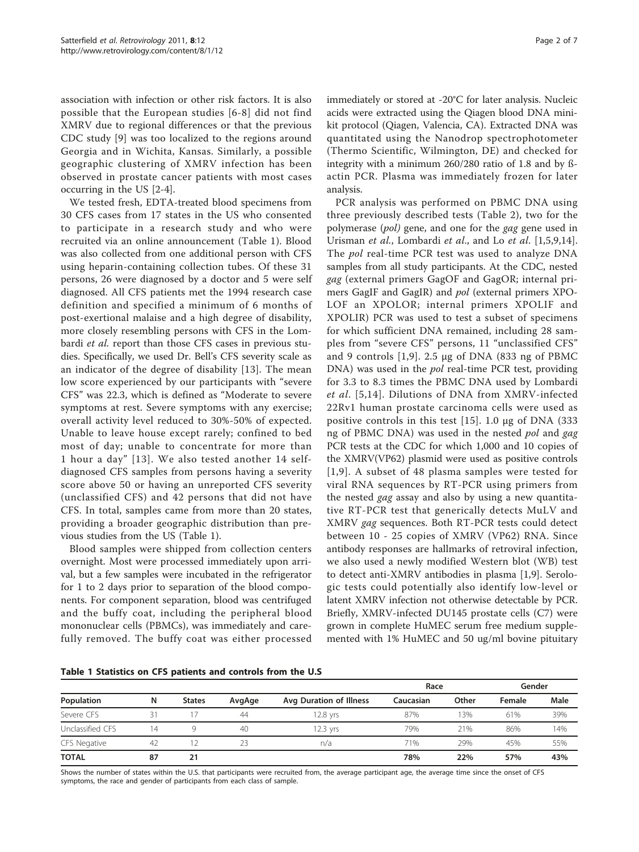association with infection or other risk factors. It is also possible that the European studies [[6-8\]](#page-6-0) did not find XMRV due to regional differences or that the previous CDC study [[9](#page-6-0)] was too localized to the regions around Georgia and in Wichita, Kansas. Similarly, a possible geographic clustering of XMRV infection has been observed in prostate cancer patients with most cases occurring in the US [[2-](#page-5-0)[4](#page-6-0)].

We tested fresh, EDTA-treated blood specimens from 30 CFS cases from 17 states in the US who consented to participate in a research study and who were recruited via an online announcement (Table 1). Blood was also collected from one additional person with CFS using heparin-containing collection tubes. Of these 31 persons, 26 were diagnosed by a doctor and 5 were self diagnosed. All CFS patients met the 1994 research case definition and specified a minimum of 6 months of post-exertional malaise and a high degree of disability, more closely resembling persons with CFS in the Lombardi et al. report than those CFS cases in previous studies. Specifically, we used Dr. Bell's CFS severity scale as an indicator of the degree of disability [[13](#page-6-0)]. The mean low score experienced by our participants with "severe CFS" was 22.3, which is defined as "Moderate to severe symptoms at rest. Severe symptoms with any exercise; overall activity level reduced to 30%-50% of expected. Unable to leave house except rarely; confined to bed most of day; unable to concentrate for more than 1 hour a day" [[13](#page-6-0)]. We also tested another 14 selfdiagnosed CFS samples from persons having a severity score above 50 or having an unreported CFS severity (unclassified CFS) and 42 persons that did not have CFS. In total, samples came from more than 20 states, providing a broader geographic distribution than previous studies from the US (Table 1).

Blood samples were shipped from collection centers overnight. Most were processed immediately upon arrival, but a few samples were incubated in the refrigerator for 1 to 2 days prior to separation of the blood components. For component separation, blood was centrifuged and the buffy coat, including the peripheral blood mononuclear cells (PBMCs), was immediately and carefully removed. The buffy coat was either processed immediately or stored at -20°C for later analysis. Nucleic acids were extracted using the Qiagen blood DNA minikit protocol (Qiagen, Valencia, CA). Extracted DNA was quantitated using the Nanodrop spectrophotometer (Thermo Scientific, Wilmington, DE) and checked for integrity with a minimum 260/280 ratio of 1.8 and by ßactin PCR. Plasma was immediately frozen for later analysis.

PCR analysis was performed on PBMC DNA using three previously described tests (Table [2\)](#page-2-0), two for the polymerase (pol) gene, and one for the gag gene used in Urisman et al., Lombardi et al., and Lo et al. [[1,](#page-5-0)[5,9,14](#page-6-0)]. The pol real-time PCR test was used to analyze DNA samples from all study participants. At the CDC, nested gag (external primers GagOF and GagOR; internal primers GagIF and GagIR) and pol (external primers XPO-LOF an XPOLOR; internal primers XPOLIF and XPOLIR) PCR was used to test a subset of specimens for which sufficient DNA remained, including 28 samples from "severe CFS" persons, 11 "unclassified CFS" and 9 controls [[1](#page-5-0)[,9](#page-6-0)]. 2.5 μg of DNA (833 ng of PBMC DNA) was used in the pol real-time PCR test, providing for 3.3 to 8.3 times the PBMC DNA used by Lombardi et al. [[5,14\]](#page-6-0). Dilutions of DNA from XMRV-infected 22Rv1 human prostate carcinoma cells were used as positive controls in this test [[15](#page-6-0)]. 1.0 μg of DNA (333 ng of PBMC DNA) was used in the nested pol and gag PCR tests at the CDC for which 1,000 and 10 copies of the XMRV(VP62) plasmid were used as positive controls [[1,](#page-5-0)[9](#page-6-0)]. A subset of 48 plasma samples were tested for viral RNA sequences by RT-PCR using primers from the nested gag assay and also by using a new quantitative RT-PCR test that generically detects MuLV and XMRV gag sequences. Both RT-PCR tests could detect between 10 - 25 copies of XMRV (VP62) RNA. Since antibody responses are hallmarks of retroviral infection, we also used a newly modified Western blot (WB) test to detect anti-XMRV antibodies in plasma [\[1](#page-5-0)[,9](#page-6-0)]. Serologic tests could potentially also identify low-level or latent XMRV infection not otherwise detectable by PCR. Briefly, XMRV-infected DU145 prostate cells (C7) were grown in complete HuMEC serum free medium supplemented with 1% HuMEC and 50 ug/ml bovine pituitary

Table 1 Statistics on CFS patients and controls from the U.S

|                  |    |               |        |                         | Race      |       | Gender |      |
|------------------|----|---------------|--------|-------------------------|-----------|-------|--------|------|
| Population       | N  | <b>States</b> | AvgAge | Avg Duration of Illness | Caucasian | Other | Female | Male |
| Severe CFS       | 31 |               | 44     | 12.8 vrs                | 87%       | 13%   | 61%    | 39%  |
| Unclassified CFS | 14 |               | 40     | 12.3 yrs                | 79%       | 21%   | 86%    | 14%  |
| CFS Negative     | 42 |               | 23     | n/a                     | 71%       | 29%   | 45%    | 55%  |
| <b>TOTAL</b>     | 87 | 21            |        |                         | 78%       | 22%   | 57%    | 43%  |

Shows the number of states within the U.S. that participants were recruited from, the average participant age, the average time since the onset of CFS symptoms, the race and gender of participants from each class of sample.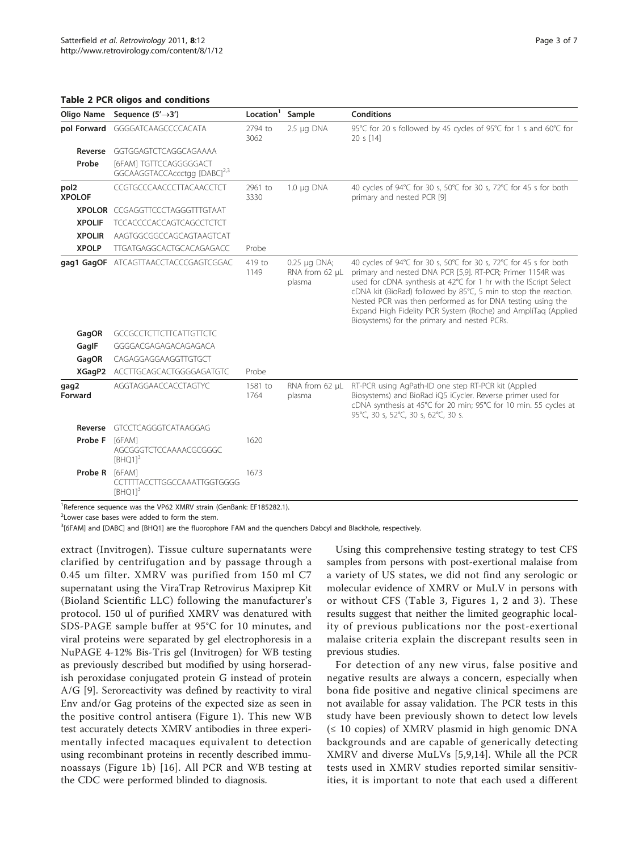#### <span id="page-2-0"></span>Table 2 PCR oligos and conditions

| Oligo Name                        | Sequence $(5' \rightarrow 3')$                                     | Location <sup>1</sup> | Sample                                        | <b>Conditions</b>                                                                                                                                                                                                                                                                                                                                                                                                                                     |
|-----------------------------------|--------------------------------------------------------------------|-----------------------|-----------------------------------------------|-------------------------------------------------------------------------------------------------------------------------------------------------------------------------------------------------------------------------------------------------------------------------------------------------------------------------------------------------------------------------------------------------------------------------------------------------------|
|                                   | pol Forward GGGGATCAAGCCCCACATA                                    |                       | $2.5 \mu q$ DNA                               | 95°C for 20 s followed by 45 cycles of 95°C for 1 s and 60°C for<br>20 s [14]                                                                                                                                                                                                                                                                                                                                                                         |
| Reverse                           | GGTGGAGTCTCAGGCAGAAAA                                              |                       |                                               |                                                                                                                                                                                                                                                                                                                                                                                                                                                       |
| Probe                             | [6FAM] TGTTCCAGGGGGACT<br>GGCAAGGTACCAccctgg [DABC] <sup>2,3</sup> |                       |                                               |                                                                                                                                                                                                                                                                                                                                                                                                                                                       |
| pol <sub>2</sub><br><b>XPOLOF</b> | CCGTGCCCAACCCTTACAACCTCT                                           |                       | $1.0 \mu q$ DNA                               | 40 cycles of 94°C for 30 s, 50°C for 30 s, 72°C for 45 s for both<br>primary and nested PCR [9]                                                                                                                                                                                                                                                                                                                                                       |
|                                   | <b>XPOLOR</b> CCGAGGTTCCCTAGGGTTTGTAAT                             |                       |                                               |                                                                                                                                                                                                                                                                                                                                                                                                                                                       |
| <b>XPOLIF</b>                     | <b>TCCACCCCACCAGTCAGCCTCTCT</b>                                    |                       |                                               |                                                                                                                                                                                                                                                                                                                                                                                                                                                       |
| <b>XPOLIR</b>                     | AAGTGGCGGCCAGCAGTAAGTCAT                                           |                       |                                               |                                                                                                                                                                                                                                                                                                                                                                                                                                                       |
| <b>XPOLP</b>                      | TTGATGAGGCACTGCACAGAGACC                                           | Probe                 |                                               |                                                                                                                                                                                                                                                                                                                                                                                                                                                       |
|                                   | gag1 GagOF ATCAGTTAACCTACCCGAGTCGGAC                               | 419 to<br>1149        | $0.25 \mu g$ DNA;<br>RNA from 62 µL<br>plasma | 40 cycles of 94°C for 30 s, 50°C for 30 s, 72°C for 45 s for both<br>primary and nested DNA PCR [5,9]. RT-PCR; Primer 1154R was<br>used for cDNA synthesis at 42°C for 1 hr with the IScript Select<br>cDNA kit (BioRad) followed by 85°C, 5 min to stop the reaction.<br>Nested PCR was then performed as for DNA testing using the<br>Expand High Fidelity PCR System (Roche) and AmpliTaq (Applied<br>Biosystems) for the primary and nested PCRs. |
| GagOR                             | <b>GCCGCCTCTTCTTCATTGTTCTC</b>                                     |                       |                                               |                                                                                                                                                                                                                                                                                                                                                                                                                                                       |
| GagIF                             | GGGGACGAGAGACAGAGACA                                               |                       |                                               |                                                                                                                                                                                                                                                                                                                                                                                                                                                       |
| GagOR                             | CAGAGGAGGAAGGTTGTGCT                                               |                       |                                               |                                                                                                                                                                                                                                                                                                                                                                                                                                                       |
| XGagP2                            | ACCTTGCAGCACTGGGGAGATGTC                                           | Probe                 |                                               |                                                                                                                                                                                                                                                                                                                                                                                                                                                       |
| gag2<br>Forward                   | AGGTAGGAACCACCTAGTYC                                               | 1581 to<br>1764       | RNA from 62 µL<br>plasma                      | RT-PCR using AgPath-ID one step RT-PCR kit (Applied<br>Biosystems) and BioRad iQ5 iCycler. Reverse primer used for<br>cDNA synthesis at 45°C for 20 min; 95°C for 10 min. 55 cycles at<br>95°C, 30 s, 52°C, 30 s, 62°C, 30 s.                                                                                                                                                                                                                         |
| Reverse                           | GTCCTCAGGGTCATAAGGAG                                               |                       |                                               |                                                                                                                                                                                                                                                                                                                                                                                                                                                       |
| Probe F                           | <b>T6FAM1</b><br>AGCGGGTCTCCAAAACGCGGGC<br>$[BHQ1]$ <sup>3</sup>   | 1620                  |                                               |                                                                                                                                                                                                                                                                                                                                                                                                                                                       |
| Probe R                           | [6FAM]<br>CCTTTTACCTTGGCCAAATTGGTGGGG<br>$[BHQ1]$ <sup>3</sup>     | 1673                  |                                               |                                                                                                                                                                                                                                                                                                                                                                                                                                                       |

<sup>1</sup>Reference sequence was the VP62 XMRV strain (GenBank: [EF185282.1\)](http://www.ncbi.nlm.nih.gov/pubmed/185282.1?dopt=Abstract).

<sup>2</sup> Lower case bases were added to form the stem.

3 [6FAM] and [DABC] and [BHQ1] are the fluorophore FAM and the quenchers Dabcyl and Blackhole, respectively.

extract (Invitrogen). Tissue culture supernatants were clarified by centrifugation and by passage through a 0.45 um filter. XMRV was purified from 150 ml C7 supernatant using the ViraTrap Retrovirus Maxiprep Kit (Bioland Scientific LLC) following the manufacturer's protocol. 150 ul of purified XMRV was denatured with SDS-PAGE sample buffer at 95°C for 10 minutes, and viral proteins were separated by gel electrophoresis in a NuPAGE 4-12% Bis-Tris gel (Invitrogen) for WB testing as previously described but modified by using horseradish peroxidase conjugated protein G instead of protein A/G [\[9](#page-6-0)]. Seroreactivity was defined by reactivity to viral Env and/or Gag proteins of the expected size as seen in the positive control antisera (Figure [1\)](#page-3-0). This new WB test accurately detects XMRV antibodies in three experimentally infected macaques equivalent to detection using recombinant proteins in recently described immunoassays (Figure [1b](#page-3-0)) [[16\]](#page-6-0). All PCR and WB testing at the CDC were performed blinded to diagnosis.

Using this comprehensive testing strategy to test CFS samples from persons with post-exertional malaise from a variety of US states, we did not find any serologic or molecular evidence of XMRV or MuLV in persons with or without CFS (Table [3,](#page-4-0) Figures [1](#page-3-0), [2](#page-4-0) and [3\)](#page-4-0). These results suggest that neither the limited geographic locality of previous publications nor the post-exertional malaise criteria explain the discrepant results seen in previous studies.

For detection of any new virus, false positive and negative results are always a concern, especially when bona fide positive and negative clinical specimens are not available for assay validation. The PCR tests in this study have been previously shown to detect low levels  $(≤ 10 copies)$  of XMRV plasmid in high genomic DNA backgrounds and are capable of generically detecting XMRV and diverse MuLVs [\[5,9,14](#page-6-0)]. While all the PCR tests used in XMRV studies reported similar sensitivities, it is important to note that each used a different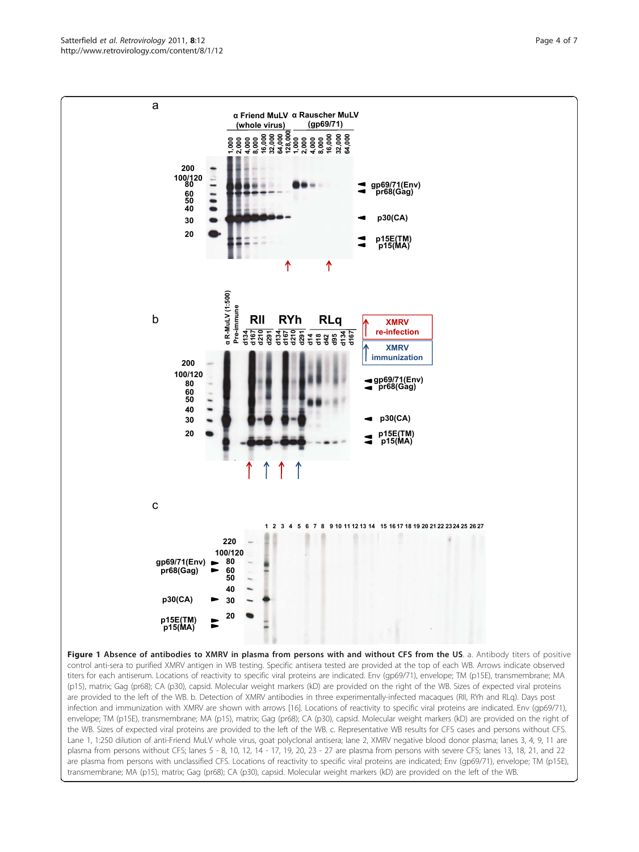Figure 1 Absence of antibodies to XMRV in plasma from persons with and without CFS from the US. a. Antibody titers of positive control anti-sera to purified XMRV antigen in WB testing. Specific antisera tested are provided at the top of each WB. Arrows indicate observed titers for each antiserum. Locations of reactivity to specific viral proteins are indicated. Env (gp69/71), envelope; TM (p15E), transmembrane; MA (p15), matrix; Gag (pr68); CA (p30), capsid. Molecular weight markers (kD) are provided on the right of the WB. Sizes of expected viral proteins are provided to the left of the WB. b. Detection of XMRV antibodies in three experimentally-infected macaques (RII, RYh and RLq). Days post infection and immunization with XMRV are shown with arrows [[16](#page-6-0)]. Locations of reactivity to specific viral proteins are indicated. Env (gp69/71), envelope; TM (p15E), transmembrane; MA (p15), matrix; Gag (pr68); CA (p30), capsid. Molecular weight markers (kD) are provided on the right of the WB. Sizes of expected viral proteins are provided to the left of the WB. c. Representative WB results for CFS cases and persons without CFS. Lane 1, 1:250 dilution of anti-Friend MuLV whole virus, goat polyclonal antisera; lane 2, XMRV negative blood donor plasma; lanes 3, 4, 9, 11 are plasma from persons without CFS; lanes 5 - 8, 10, 12, 14 - 17, 19, 20, 23 - 27 are plasma from persons with severe CFS; lanes 13, 18, 21, and 22 are plasma from persons with unclassified CFS. Locations of reactivity to specific viral proteins are indicated; Env (gp69/71), envelope; TM (p15E), transmembrane; MA (p15), matrix; Gag (pr68); CA (p30), capsid. Molecular weight markers (kD) are provided on the left of the WB.

<span id="page-3-0"></span>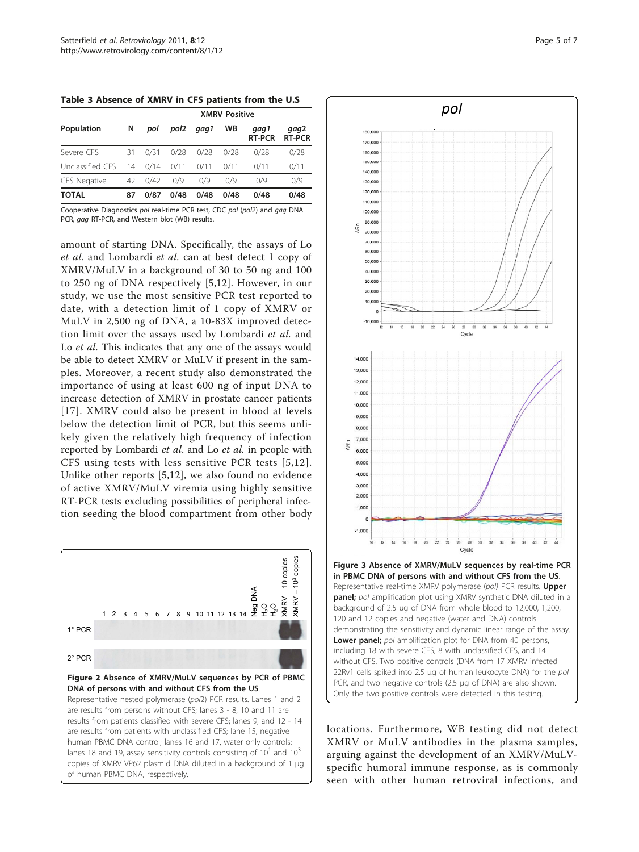<span id="page-4-0"></span>Table 3 Absence of XMRV in CFS patients from the U.S

|                  | <b>XMRV Positive</b> |      |      |      |      |                       |                       |  |
|------------------|----------------------|------|------|------|------|-----------------------|-----------------------|--|
| Population       | N                    | pol  | pol2 | qaq1 | WB   | gag1<br><b>RT-PCR</b> | qaq2<br><b>RT-PCR</b> |  |
| Severe CFS       | 31                   | 0/31 | 0/28 | 0/28 | 0/28 | 0/28                  | 0/28                  |  |
| Unclassified CFS | 14                   | 0/14 | 0/11 | 0/11 | 0/11 | 0/11                  | 0/11                  |  |
| CFS Negative     | 42                   | 0/42 | 0/9  | 0/9  | 0/9  | 0/9                   | 0/9                   |  |
| TOTAL            | 87                   | 0/87 | 0/48 | 0/48 | 0/48 | 0/48                  | 0/48                  |  |

Cooperative Diagnostics pol real-time PCR test, CDC pol (pol2) and gag DNA PCR, gag RT-PCR, and Western blot (WB) results.

amount of starting DNA. Specifically, the assays of Lo et al. and Lombardi et al. can at best detect 1 copy of XMRV/MuLV in a background of 30 to 50 ng and 100 to 250 ng of DNA respectively [[5,12\]](#page-6-0). However, in our study, we use the most sensitive PCR test reported to date, with a detection limit of 1 copy of XMRV or MuLV in 2,500 ng of DNA, a 10-83X improved detection limit over the assays used by Lombardi et al. and Lo *et al*. This indicates that any one of the assays would be able to detect XMRV or MuLV if present in the samples. Moreover, a recent study also demonstrated the importance of using at least 600 ng of input DNA to increase detection of XMRV in prostate cancer patients [[17\]](#page-6-0). XMRV could also be present in blood at levels below the detection limit of PCR, but this seems unlikely given the relatively high frequency of infection reported by Lombardi et al. and Lo et al. in people with CFS using tests with less sensitive PCR tests [[5,12\]](#page-6-0). Unlike other reports [[5,12](#page-6-0)], we also found no evidence of active XMRV/MuLV viremia using highly sensitive RT-PCR tests excluding possibilities of peripheral infection seeding the blood compartment from other body





locations. Furthermore, WB testing did not detect XMRV or MuLV antibodies in the plasma samples, arguing against the development of an XMRV/MuLVspecific humoral immune response, as is commonly seen with other human retroviral infections, and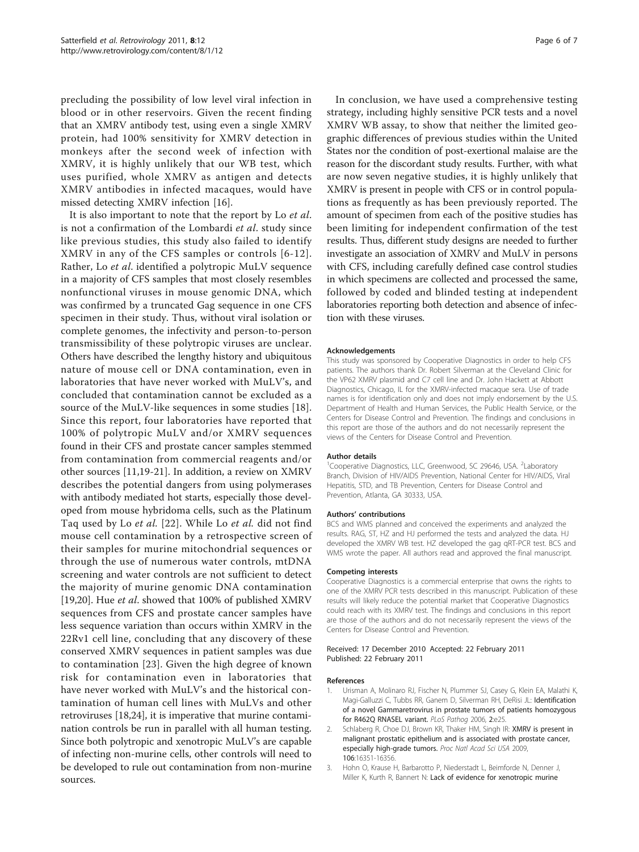<span id="page-5-0"></span>precluding the possibility of low level viral infection in blood or in other reservoirs. Given the recent finding that an XMRV antibody test, using even a single XMRV protein, had 100% sensitivity for XMRV detection in monkeys after the second week of infection with XMRV, it is highly unlikely that our WB test, which uses purified, whole XMRV as antigen and detects XMRV antibodies in infected macaques, would have missed detecting XMRV infection [[16\]](#page-6-0).

It is also important to note that the report by Lo et al. is not a confirmation of the Lombardi et al. study since like previous studies, this study also failed to identify XMRV in any of the CFS samples or controls [[6](#page-6-0)-[12\]](#page-6-0). Rather, Lo et al. identified a polytropic MuLV sequence in a majority of CFS samples that most closely resembles nonfunctional viruses in mouse genomic DNA, which was confirmed by a truncated Gag sequence in one CFS specimen in their study. Thus, without viral isolation or complete genomes, the infectivity and person-to-person transmissibility of these polytropic viruses are unclear. Others have described the lengthy history and ubiquitous nature of mouse cell or DNA contamination, even in laboratories that have never worked with MuLV's, and concluded that contamination cannot be excluded as a source of the MuLV-like sequences in some studies [\[18](#page-6-0)]. Since this report, four laboratories have reported that 100% of polytropic MuLV and/or XMRV sequences found in their CFS and prostate cancer samples stemmed from contamination from commercial reagents and/or other sources [[11,19-21](#page-6-0)]. In addition, a review on XMRV describes the potential dangers from using polymerases with antibody mediated hot starts, especially those developed from mouse hybridoma cells, such as the Platinum Taq used by Lo et al. [[22\]](#page-6-0). While Lo et al. did not find mouse cell contamination by a retrospective screen of their samples for murine mitochondrial sequences or through the use of numerous water controls, mtDNA screening and water controls are not sufficient to detect the majority of murine genomic DNA contamination [[19,20\]](#page-6-0). Hue et al. showed that 100% of published XMRV sequences from CFS and prostate cancer samples have less sequence variation than occurs within XMRV in the 22Rv1 cell line, concluding that any discovery of these conserved XMRV sequences in patient samples was due to contamination [[23](#page-6-0)]. Given the high degree of known risk for contamination even in laboratories that have never worked with MuLV's and the historical contamination of human cell lines with MuLVs and other retroviruses [\[18,24](#page-6-0)], it is imperative that murine contamination controls be run in parallel with all human testing. Since both polytropic and xenotropic MuLV's are capable of infecting non-murine cells, other controls will need to be developed to rule out contamination from non-murine sources.

In conclusion, we have used a comprehensive testing strategy, including highly sensitive PCR tests and a novel XMRV WB assay, to show that neither the limited geographic differences of previous studies within the United States nor the condition of post-exertional malaise are the reason for the discordant study results. Further, with what are now seven negative studies, it is highly unlikely that XMRV is present in people with CFS or in control populations as frequently as has been previously reported. The amount of specimen from each of the positive studies has been limiting for independent confirmation of the test results. Thus, different study designs are needed to further investigate an association of XMRV and MuLV in persons with CFS, including carefully defined case control studies in which specimens are collected and processed the same, followed by coded and blinded testing at independent laboratories reporting both detection and absence of infection with these viruses.

#### Acknowledgements

This study was sponsored by Cooperative Diagnostics in order to help CFS patients. The authors thank Dr. Robert Silverman at the Cleveland Clinic for the VP62 XMRV plasmid and C7 cell line and Dr. John Hackett at Abbott Diagnostics, Chicago, IL for the XMRV-infected macaque sera. Use of trade names is for identification only and does not imply endorsement by the U.S. Department of Health and Human Services, the Public Health Service, or the Centers for Disease Control and Prevention. The findings and conclusions in this report are those of the authors and do not necessarily represent the views of the Centers for Disease Control and Prevention.

#### Author details

<sup>1</sup> Cooperative Diagnostics, LLC, Greenwood, SC 29646, USA. <sup>2</sup> Laboratory Branch, Division of HIV/AIDS Prevention, National Center for HIV/AIDS, Viral Hepatitis, STD, and TB Prevention, Centers for Disease Control and Prevention, Atlanta, GA 30333, USA.

#### Authors' contributions

BCS and WMS planned and conceived the experiments and analyzed the results. RAG, ST, HZ and HJ performed the tests and analyzed the data. HJ developed the XMRV WB test. HZ developed the gag qRT-PCR test. BCS and WMS wrote the paper. All authors read and approved the final manuscript.

#### Competing interests

Cooperative Diagnostics is a commercial enterprise that owns the rights to one of the XMRV PCR tests described in this manuscript. Publication of these results will likely reduce the potential market that Cooperative Diagnostics could reach with its XMRV test. The findings and conclusions in this report are those of the authors and do not necessarily represent the views of the Centers for Disease Control and Prevention.

#### Received: 17 December 2010 Accepted: 22 February 2011 Published: 22 February 2011

#### References

- Urisman A, Molinaro RJ, Fischer N, Plummer SJ, Casey G, Klein EA, Malathi K, Magi-Galluzzi C, Tubbs RR, Ganem D, Silverman RH, DeRisi JL: [Identification](http://www.ncbi.nlm.nih.gov/pubmed/16609730?dopt=Abstract) [of a novel Gammaretrovirus in prostate tumors of patients homozygous](http://www.ncbi.nlm.nih.gov/pubmed/16609730?dopt=Abstract) [for R462Q RNASEL variant.](http://www.ncbi.nlm.nih.gov/pubmed/16609730?dopt=Abstract) PLoS Pathog 2006, 2:e25.
- 2. Schlaberg R, Choe DJ, Brown KR, Thaker HM, Singh IR: [XMRV is present in](http://www.ncbi.nlm.nih.gov/pubmed/19805305?dopt=Abstract) [malignant prostatic epithelium and is associated with prostate cancer,](http://www.ncbi.nlm.nih.gov/pubmed/19805305?dopt=Abstract) [especially high-grade tumors.](http://www.ncbi.nlm.nih.gov/pubmed/19805305?dopt=Abstract) Proc Natl Acad Sci USA 2009, 106:16351-16356.
- 3. Hohn O, Krause H, Barbarotto P, Niederstadt L, Beimforde N, Denner J, Miller K, Kurth R, Bannert N: [Lack of evidence for xenotropic murine](http://www.ncbi.nlm.nih.gov/pubmed/19835577?dopt=Abstract)